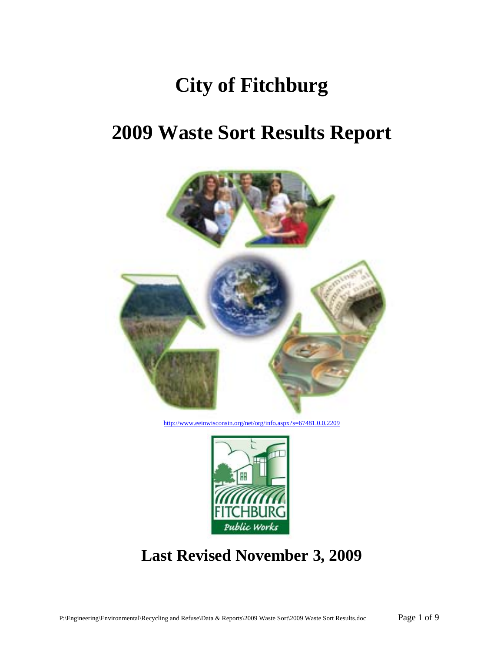# **City of Fitchburg**

# **2009 Waste Sort Results Report**



http://www.eeinwisconsin.org/net/org/info.aspx?s=67481.0.0.2209



# **Last Revised November 3, 2009**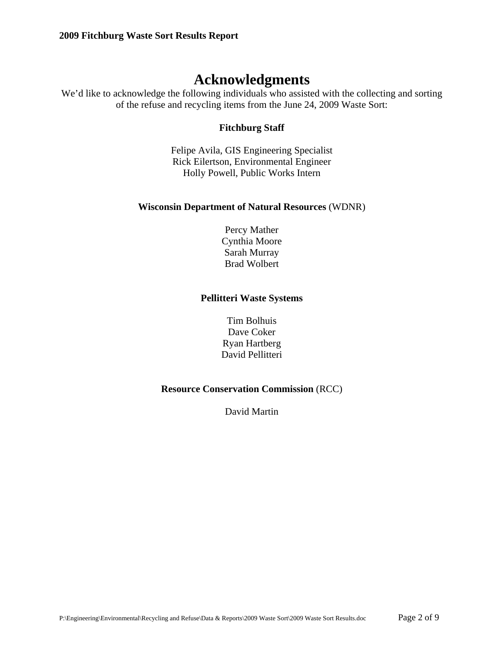# **Acknowledgments**

We'd like to acknowledge the following individuals who assisted with the collecting and sorting of the refuse and recycling items from the June 24, 2009 Waste Sort:

#### **Fitchburg Staff**

Felipe Avila, GIS Engineering Specialist Rick Eilertson, Environmental Engineer Holly Powell, Public Works Intern

#### **Wisconsin Department of Natural Resources** (WDNR)

Percy Mather Cynthia Moore Sarah Murray Brad Wolbert

#### **Pellitteri Waste Systems**

Tim Bolhuis Dave Coker Ryan Hartberg David Pellitteri

#### **Resource Conservation Commission** (RCC)

David Martin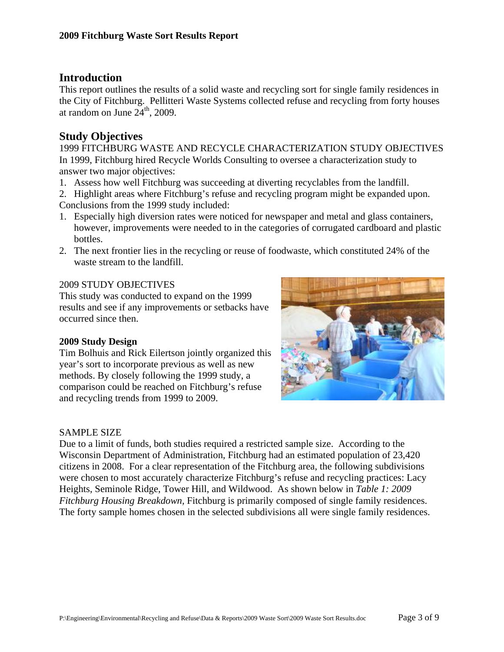### **Introduction**

This report outlines the results of a solid waste and recycling sort for single family residences in the City of Fitchburg. Pellitteri Waste Systems collected refuse and recycling from forty houses at random on June  $24<sup>th</sup>$ , 2009.

## **Study Objectives**

1999 FITCHBURG WASTE AND RECYCLE CHARACTERIZATION STUDY OBJECTIVES In 1999, Fitchburg hired Recycle Worlds Consulting to oversee a characterization study to answer two major objectives:

- 1. Assess how well Fitchburg was succeeding at diverting recyclables from the landfill.
- 2. Highlight areas where Fitchburg's refuse and recycling program might be expanded upon. Conclusions from the 1999 study included:
- 1. Especially high diversion rates were noticed for newspaper and metal and glass containers, however, improvements were needed to in the categories of corrugated cardboard and plastic bottles.
- 2. The next frontier lies in the recycling or reuse of foodwaste, which constituted 24% of the waste stream to the landfill.

#### 2009 STUDY OBJECTIVES

This study was conducted to expand on the 1999 results and see if any improvements or setbacks have occurred since then.

#### **2009 Study Design**

Tim Bolhuis and Rick Eilertson jointly organized this year's sort to incorporate previous as well as new methods. By closely following the 1999 study, a comparison could be reached on Fitchburg's refuse and recycling trends from 1999 to 2009.



#### SAMPLE SIZE

Due to a limit of funds, both studies required a restricted sample size. According to the Wisconsin Department of Administration, Fitchburg had an estimated population of 23,420 citizens in 2008. For a clear representation of the Fitchburg area, the following subdivisions were chosen to most accurately characterize Fitchburg's refuse and recycling practices: Lacy Heights, Seminole Ridge, Tower Hill, and Wildwood. As shown below in *Table 1: 2009 Fitchburg Housing Breakdown,* Fitchburg is primarily composed of single family residences. The forty sample homes chosen in the selected subdivisions all were single family residences.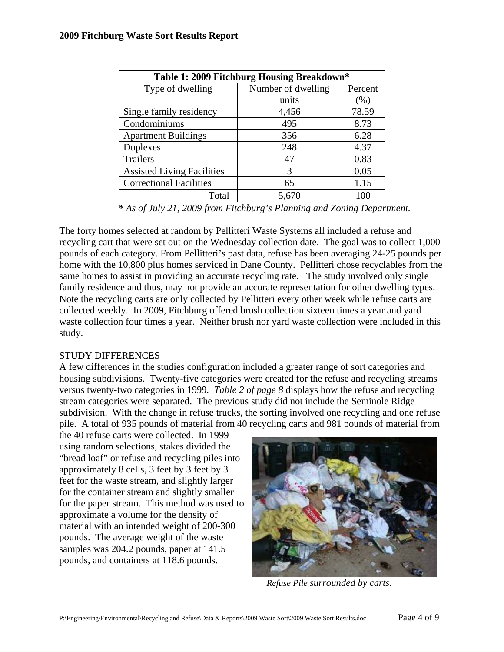| Table 1: 2009 Fitchburg Housing Breakdown* |                    |         |  |  |  |  |  |  |
|--------------------------------------------|--------------------|---------|--|--|--|--|--|--|
| Type of dwelling                           | Number of dwelling | Percent |  |  |  |  |  |  |
|                                            | units              | $(\%)$  |  |  |  |  |  |  |
| Single family residency                    | 4,456              | 78.59   |  |  |  |  |  |  |
| Condominiums                               | 495                | 8.73    |  |  |  |  |  |  |
| <b>Apartment Buildings</b>                 | 356                | 6.28    |  |  |  |  |  |  |
| Duplexes                                   | 248                | 4.37    |  |  |  |  |  |  |
| Trailers                                   | 47                 | 0.83    |  |  |  |  |  |  |
| <b>Assisted Living Facilities</b>          | 3                  | 0.05    |  |  |  |  |  |  |
| <b>Correctional Facilities</b>             | 65                 | 1.15    |  |  |  |  |  |  |
| Total                                      | 5,670              | 100     |  |  |  |  |  |  |

*\* As of July 21, 2009 from Fitchburg's Planning and Zoning Department.* 

The forty homes selected at random by Pellitteri Waste Systems all included a refuse and recycling cart that were set out on the Wednesday collection date. The goal was to collect 1,000 pounds of each category. From Pellitteri's past data, refuse has been averaging 24-25 pounds per home with the 10,800 plus homes serviced in Dane County. Pellitteri chose recyclables from the same homes to assist in providing an accurate recycling rate. The study involved only single family residence and thus, may not provide an accurate representation for other dwelling types. Note the recycling carts are only collected by Pellitteri every other week while refuse carts are collected weekly. In 2009, Fitchburg offered brush collection sixteen times a year and yard waste collection four times a year. Neither brush nor yard waste collection were included in this study.

#### STUDY DIFFERENCES

A few differences in the studies configuration included a greater range of sort categories and housing subdivisions. Twenty-five categories were created for the refuse and recycling streams versus twenty-two categories in 1999*. Table 2 of page 8* displays how the refuse and recycling stream categories were separated. The previous study did not include the Seminole Ridge subdivision. With the change in refuse trucks, the sorting involved one recycling and one refuse pile. A total of 935 pounds of material from 40 recycling carts and 981 pounds of material from

the 40 refuse carts were collected. In 1999 using random selections, stakes divided the "bread loaf" or refuse and recycling piles into approximately 8 cells, 3 feet by 3 feet by 3 feet for the waste stream, and slightly larger for the container stream and slightly smaller for the paper stream. This method was used to approximate a volume for the density of material with an intended weight of 200-300 pounds. The average weight of the waste samples was 204.2 pounds, paper at 141.5 pounds, and containers at 118.6 pounds.



*Refuse Pile surrounded by carts.*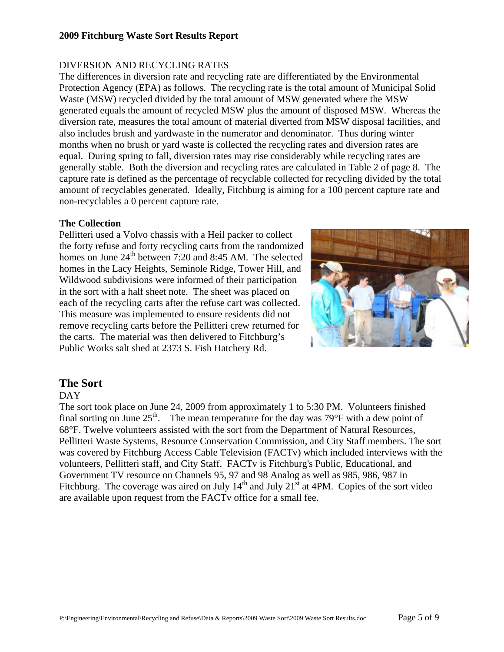#### **2009 Fitchburg Waste Sort Results Report**

#### DIVERSION AND RECYCLING RATES

The differences in diversion rate and recycling rate are differentiated by the Environmental Protection Agency (EPA) as follows. The recycling rate is the total amount of Municipal Solid Waste (MSW) recycled divided by the total amount of MSW generated where the MSW generated equals the amount of recycled MSW plus the amount of disposed MSW. Whereas the diversion rate, measures the total amount of material diverted from MSW disposal facilities, and also includes brush and yardwaste in the numerator and denominator. Thus during winter months when no brush or yard waste is collected the recycling rates and diversion rates are equal. During spring to fall, diversion rates may rise considerably while recycling rates are generally stable. Both the diversion and recycling rates are calculated in Table 2 of page 8. The capture rate is defined as the percentage of recyclable collected for recycling divided by the total amount of recyclables generated. Ideally, Fitchburg is aiming for a 100 percent capture rate and non-recyclables a 0 percent capture rate.

#### **The Collection**

Pellitteri used a Volvo chassis with a Heil packer to collect the forty refuse and forty recycling carts from the randomized homes on June 24<sup>th</sup> between 7:20 and 8:45 AM. The selected homes in the Lacy Heights, Seminole Ridge, Tower Hill, and Wildwood subdivisions were informed of their participation in the sort with a half sheet note. The sheet was placed on each of the recycling carts after the refuse cart was collected. This measure was implemented to ensure residents did not remove recycling carts before the Pellitteri crew returned for the carts. The material was then delivered to Fitchburg's Public Works salt shed at 2373 S. Fish Hatchery Rd.



#### **The Sort**

#### DAY

The sort took place on June 24, 2009 from approximately 1 to 5:30 PM. Volunteers finished final sorting on June  $25<sup>th</sup>$ . The mean temperature for the day was 79°F with a dew point of 68°F. Twelve volunteers assisted with the sort from the Department of Natural Resources, Pellitteri Waste Systems, Resource Conservation Commission, and City Staff members. The sort was covered by Fitchburg Access Cable Television (FACTv) which included interviews with the volunteers, Pellitteri staff, and City Staff. FACTv is Fitchburg's Public, Educational, and Government TV resource on Channels 95, 97 and 98 Analog as well as 985, 986, 987 in Fitchburg. The coverage was aired on July  $14<sup>th</sup>$  and July  $21<sup>st</sup>$  at 4PM. Copies of the sort video are available upon request from the FACTv office for a small fee.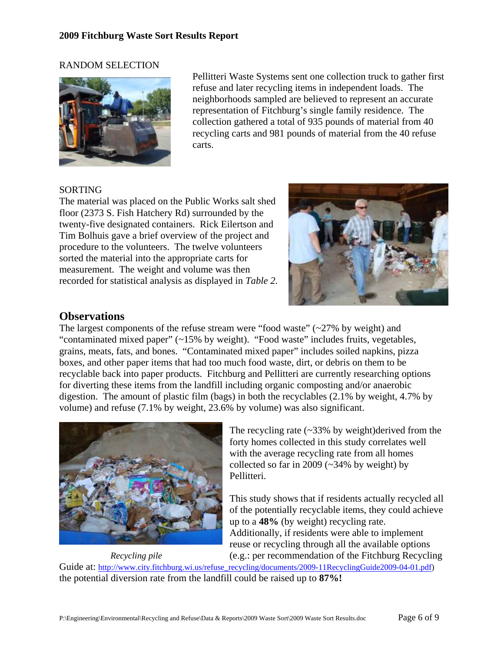#### RANDOM SELECTION



Pellitteri Waste Systems sent one collection truck to gather first refuse and later recycling items in independent loads. The neighborhoods sampled are believed to represent an accurate representation of Fitchburg's single family residence. The collection gathered a total of 935 pounds of material from 40 recycling carts and 981 pounds of material from the 40 refuse carts.

#### SORTING

The material was placed on the Public Works salt shed floor (2373 S. Fish Hatchery Rd) surrounded by the twenty-five designated containers. Rick Eilertson and Tim Bolhuis gave a brief overview of the project and procedure to the volunteers. The twelve volunteers sorted the material into the appropriate carts for measurement. The weight and volume was then recorded for statistical analysis as displayed in *Table 2.*



# **Observations**

The largest components of the refuse stream were "food waste"  $\sim$  27% by weight) and "contaminated mixed paper" (~15% by weight). "Food waste" includes fruits, vegetables, grains, meats, fats, and bones. "Contaminated mixed paper" includes soiled napkins, pizza boxes, and other paper items that had too much food waste, dirt, or debris on them to be recyclable back into paper products. Fitchburg and Pellitteri are currently researching options for diverting these items from the landfill including organic composting and/or anaerobic digestion. The amount of plastic film (bags) in both the recyclables (2.1% by weight, 4.7% by volume) and refuse (7.1% by weight, 23.6% by volume) was also significant.



The recycling rate  $\left(\sim 33\%$  by weight)derived from the forty homes collected in this study correlates well with the average recycling rate from all homes collected so far in 2009 ( $\sim$ 34% by weight) by Pellitteri.

This study shows that if residents actually recycled all of the potentially recyclable items, they could achieve up to a **48%** (by weight) recycling rate. Additionally, if residents were able to implement reuse or recycling through all the available options *Recycling pile* (e.g.: per recommendation of the Fitchburg Recycling

Guide at: http://www.city.fitchburg.wi.us/refuse\_recycling/documents/2009-11RecyclingGuide2009-04-01.pdf)

the potential diversion rate from the landfill could be raised up to **87%!**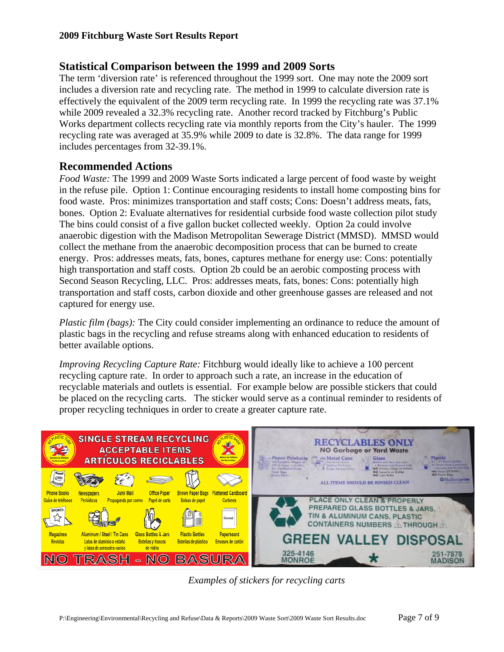## **Statistical Comparison between the 1999 and 2009 Sorts**

The term 'diversion rate' is referenced throughout the 1999 sort. One may note the 2009 sort includes a diversion rate and recycling rate. The method in 1999 to calculate diversion rate is effectively the equivalent of the 2009 term recycling rate. In 1999 the recycling rate was 37.1% while 2009 revealed a 32.3% recycling rate. Another record tracked by Fitchburg's Public Works department collects recycling rate via monthly reports from the City's hauler. The 1999 recycling rate was averaged at 35.9% while 2009 to date is 32.8%. The data range for 1999 includes percentages from 32-39.1%.

## **Recommended Actions**

*Food Waste:* The 1999 and 2009 Waste Sorts indicated a large percent of food waste by weight in the refuse pile. Option 1: Continue encouraging residents to install home composting bins for food waste. Pros: minimizes transportation and staff costs; Cons: Doesn't address meats, fats, bones. Option 2: Evaluate alternatives for residential curbside food waste collection pilot study The bins could consist of a five gallon bucket collected weekly. Option 2a could involve anaerobic digestion with the Madison Metropolitan Sewerage District (MMSD). MMSD would collect the methane from the anaerobic decomposition process that can be burned to create energy. Pros: addresses meats, fats, bones, captures methane for energy use: Cons: potentially high transportation and staff costs. Option 2b could be an aerobic composting process with Second Season Recycling, LLC. Pros: addresses meats, fats, bones: Cons: potentially high transportation and staff costs, carbon dioxide and other greenhouse gasses are released and not captured for energy use.

*Plastic film (bags):* The City could consider implementing an ordinance to reduce the amount of plastic bags in the recycling and refuse streams along with enhanced education to residents of better available options.

*Improving Recycling Capture Rate:* Fitchburg would ideally like to achieve a 100 percent recycling capture rate. In order to approach such a rate, an increase in the education of recyclable materials and outlets is essential. For example below are possible stickers that could be placed on the recycling carts. The sticker would serve as a continual reminder to residents of proper recycling techniques in order to create a greater capture rate.



*Examples of stickers for recycling carts*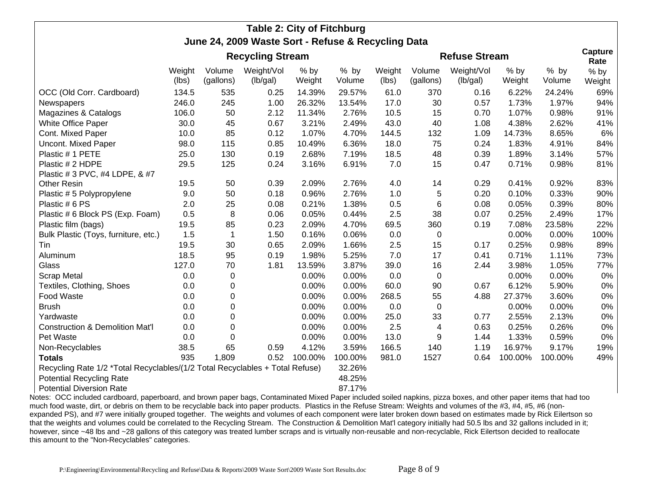# **Table 2: City of Fitchburg June 24, 2009 Waste Sort - Refuse & Recycling Data**

|                                                                              | <b>Recycling Stream</b> |                     |                        |                  |                  | <b>Refuse Stream</b> |                     |                        |                  | Capture<br>Rate |                  |
|------------------------------------------------------------------------------|-------------------------|---------------------|------------------------|------------------|------------------|----------------------|---------------------|------------------------|------------------|-----------------|------------------|
|                                                                              | Weight<br>(lbs)         | Volume<br>(gallons) | Weight/Vol<br>(lb/gal) | $%$ by<br>Weight | $%$ by<br>Volume | Weight<br>(lbs)      | Volume<br>(gallons) | Weight/Vol<br>(lb/gal) | $%$ by<br>Weight | % by<br>Volume  | $%$ by<br>Weight |
| OCC (Old Corr. Cardboard)                                                    | 134.5                   | 535                 | 0.25                   | 14.39%           | 29.57%           | 61.0                 | 370                 | 0.16                   | 6.22%            | 24.24%          | 69%              |
| Newspapers                                                                   | 246.0                   | 245                 | 1.00                   | 26.32%           | 13.54%           | 17.0                 | 30                  | 0.57                   | 1.73%            | 1.97%           | 94%              |
| Magazines & Catalogs                                                         | 106.0                   | 50                  | 2.12                   | 11.34%           | 2.76%            | 10.5                 | 15                  | 0.70                   | 1.07%            | 0.98%           | 91%              |
| White Office Paper                                                           | 30.0                    | 45                  | 0.67                   | 3.21%            | 2.49%            | 43.0                 | 40                  | 1.08                   | 4.38%            | 2.62%           | 41%              |
| Cont. Mixed Paper                                                            | 10.0                    | 85                  | 0.12                   | 1.07%            | 4.70%            | 144.5                | 132                 | 1.09                   | 14.73%           | 8.65%           | 6%               |
| Uncont. Mixed Paper                                                          | 98.0                    | 115                 | 0.85                   | 10.49%           | 6.36%            | 18.0                 | 75                  | 0.24                   | 1.83%            | 4.91%           | 84%              |
| Plastic # 1 PETE                                                             | 25.0                    | 130                 | 0.19                   | 2.68%            | 7.19%            | 18.5                 | 48                  | 0.39                   | 1.89%            | 3.14%           | 57%              |
| Plastic # 2 HDPE                                                             | 29.5                    | 125                 | 0.24                   | 3.16%            | 6.91%            | 7.0                  | 15                  | 0.47                   | 0.71%            | 0.98%           | 81%              |
| Plastic # 3 PVC, #4 LDPE, & #7                                               |                         |                     |                        |                  |                  |                      |                     |                        |                  |                 |                  |
| <b>Other Resin</b>                                                           | 19.5                    | 50                  | 0.39                   | 2.09%            | 2.76%            | 4.0                  | 14                  | 0.29                   | 0.41%            | 0.92%           | 83%              |
| Plastic # 5 Polypropylene                                                    | 9.0                     | 50                  | 0.18                   | 0.96%            | 2.76%            | 1.0                  | 5                   | 0.20                   | 0.10%            | 0.33%           | 90%              |
| Plastic # 6 PS                                                               | 2.0                     | 25                  | 0.08                   | 0.21%            | 1.38%            | 0.5                  | 6                   | 0.08                   | 0.05%            | 0.39%           | 80%              |
| Plastic # 6 Block PS (Exp. Foam)                                             | 0.5                     | 8                   | 0.06                   | 0.05%            | 0.44%            | 2.5                  | 38                  | 0.07                   | 0.25%            | 2.49%           | 17%              |
| Plastic film (bags)                                                          | 19.5                    | 85                  | 0.23                   | 2.09%            | 4.70%            | 69.5                 | 360                 | 0.19                   | 7.08%            | 23.58%          | 22%              |
| Bulk Plastic (Toys, furniture, etc.)                                         | 1.5                     | 1                   | 1.50                   | 0.16%            | 0.06%            | 0.0                  | $\pmb{0}$           |                        | 0.00%            | 0.00%           | 100%             |
| Tin                                                                          | 19.5                    | 30                  | 0.65                   | 2.09%            | 1.66%            | 2.5                  | 15                  | 0.17                   | 0.25%            | 0.98%           | 89%              |
| Aluminum                                                                     | 18.5                    | 95                  | 0.19                   | 1.98%            | 5.25%            | 7.0                  | 17                  | 0.41                   | 0.71%            | 1.11%           | 73%              |
| Glass                                                                        | 127.0                   | 70                  | 1.81                   | 13.59%           | 3.87%            | 39.0                 | 16                  | 2.44                   | 3.98%            | 1.05%           | 77%              |
| <b>Scrap Metal</b>                                                           | 0.0                     | 0                   |                        | 0.00%            | 0.00%            | 0.0                  | $\mathbf 0$         |                        | 0.00%            | 0.00%           | 0%               |
| Textiles, Clothing, Shoes                                                    | 0.0                     | 0                   |                        | 0.00%            | 0.00%            | 60.0                 | 90                  | 0.67                   | 6.12%            | 5.90%           | 0%               |
| Food Waste                                                                   | 0.0                     | 0                   |                        | 0.00%            | 0.00%            | 268.5                | 55                  | 4.88                   | 27.37%           | 3.60%           | 0%               |
| <b>Brush</b>                                                                 | 0.0                     | 0                   |                        | 0.00%            | 0.00%            | 0.0                  | $\mathbf 0$         |                        | 0.00%            | 0.00%           | 0%               |
| Yardwaste                                                                    | 0.0                     | $\Omega$            |                        | 0.00%            | 0.00%            | 25.0                 | 33                  | 0.77                   | 2.55%            | 2.13%           | 0%               |
| <b>Construction &amp; Demolition Mat'l</b>                                   | 0.0                     | 0                   |                        | 0.00%            | 0.00%            | 2.5                  | 4                   | 0.63                   | 0.25%            | 0.26%           | 0%               |
| Pet Waste                                                                    | 0.0                     | 0                   |                        | 0.00%            | 0.00%            | 13.0                 | 9                   | 1.44                   | 1.33%            | 0.59%           | 0%               |
| Non-Recyclables                                                              | 38.5                    | 65                  | 0.59                   | 4.12%            | 3.59%            | 166.5                | 140                 | 1.19                   | 16.97%           | 9.17%           | 19%              |
| <b>Totals</b>                                                                | 935                     | 1,809               | 0.52                   | 100.00%          | 100.00%          | 981.0                | 1527                | 0.64                   | 100.00%          | 100.00%         | 49%              |
| Recycling Rate 1/2 *Total Recyclables/(1/2 Total Recyclables + Total Refuse) |                         |                     |                        | 32.26%           |                  |                      |                     |                        |                  |                 |                  |
| <b>Potential Recycling Rate</b>                                              |                         |                     |                        |                  | 48.25%           |                      |                     |                        |                  |                 |                  |
| <b>Potential Diversion Rate</b>                                              |                         |                     |                        |                  | 87.17%           |                      |                     |                        |                  |                 |                  |

Notes: OCC included cardboard, paperboard, and brown paper bags, Contaminated Mixed Paper included soiled napkins, pizza boxes, and other paper items that had too much food waste, dirt, or debris on them to be recyclable back into paper products. Plastics in the Refuse Stream: Weights and volumes of the #3, #4, #5, #6 (nonexpanded PS), and #7 were initially grouped together. The weights and volumes of each component were later broken down based on estimates made by Rick Eilertson so that the weights and volumes could be correlated to the Recycling Stream. The Construction & Demolition Mat'l category initially had 50.5 lbs and 32 gallons included in it; however, since ~48 lbs and ~28 gallons of this category was treated lumber scraps and is virtually non-reusable and non-recyclable, Rick Eilertson decided to reallocate this amount to the "Non-Recyclables" categories.